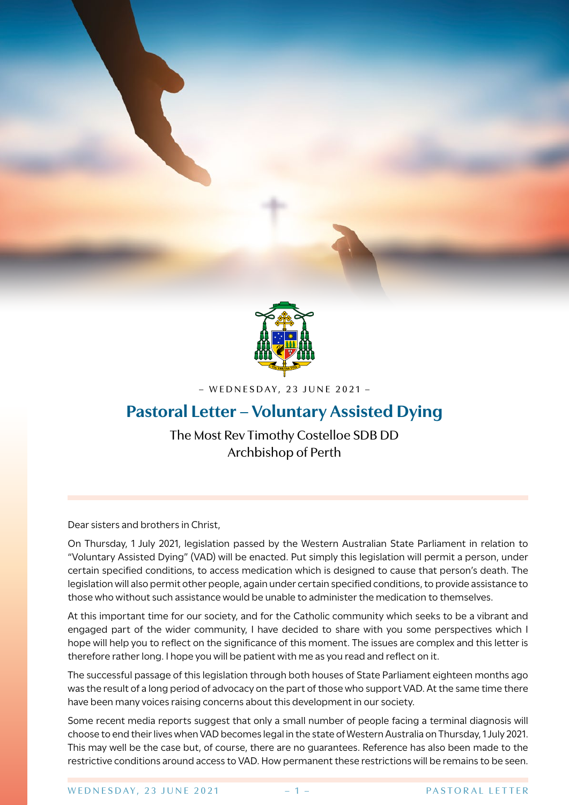

– WEDNESDAY, 23 JUNE 2021 –

# **Pastoral Letter – Voluntary Assisted Dying**

The Most Rev Timothy Costelloe SDB DD Archbishop of Perth

Dear sisters and brothers in Christ,

On Thursday, 1 July 2021, legislation passed by the Western Australian State Parliament in relation to "Voluntary Assisted Dying" (VAD) will be enacted. Put simply this legislation will permit a person, under certain specified conditions, to access medication which is designed to cause that person's death. The legislation will also permit other people, again under certain specified conditions, to provide assistance to those who without such assistance would be unable to administer the medication to themselves.

At this important time for our society, and for the Catholic community which seeks to be a vibrant and engaged part of the wider community, I have decided to share with you some perspectives which I hope will help you to reflect on the significance of this moment. The issues are complex and this letter is therefore rather long. I hope you will be patient with me as you read and reflect on it.

The successful passage of this legislation through both houses of State Parliament eighteen months ago was the result of a long period of advocacy on the part of those who support VAD. At the same time there have been many voices raising concerns about this development in our society.

Some recent media reports suggest that only a small number of people facing a terminal diagnosis will choose to end their lives when VAD becomes legal in the state of Western Australia on Thursday, 1 July 2021. This may well be the case but, of course, there are no guarantees. Reference has also been made to the restrictive conditions around access to VAD. How permanent these restrictions will be remains to be seen.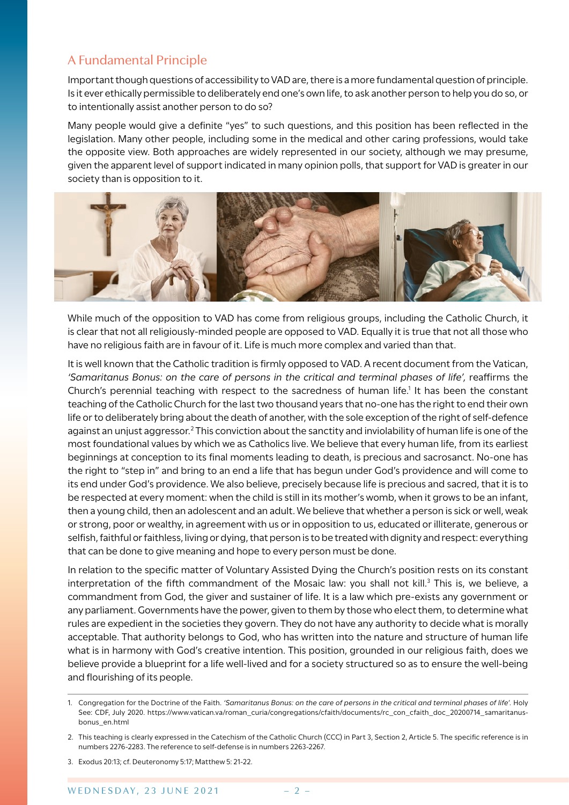## A Fundamental Principle

Important though questions of accessibility to VAD are, there is a more fundamental question of principle. Is it ever ethically permissible to deliberately end one's own life, to ask another person to help you do so, or to intentionally assist another person to do so?

Many people would give a definite "yes" to such questions, and this position has been reflected in the legislation. Many other people, including some in the medical and other caring professions, would take the opposite view. Both approaches are widely represented in our society, although we may presume, given the apparent level of support indicated in many opinion polls, that support for VAD is greater in our society than is opposition to it.



While much of the opposition to VAD has come from religious groups, including the Catholic Church, it is clear that not all religiously-minded people are opposed to VAD. Equally it is true that not all those who have no religious faith are in favour of it. Life is much more complex and varied than that.

It is well known that the Catholic tradition is firmly opposed to VAD. A recent document from the Vatican, *'Samaritanus Bonus: on the care of persons in the critical and terminal phases of life',* reaffirms the Church's perennial teaching with respect to the sacredness of human life.<sup>1</sup> It has been the constant teaching of the Catholic Church for the last two thousand years that no-one has the right to end their own life or to deliberately bring about the death of another, with the sole exception of the right of self-defence against an unjust aggressor.<sup>2</sup> This conviction about the sanctity and inviolability of human life is one of the most foundational values by which we as Catholics live. We believe that every human life, from its earliest beginnings at conception to its final moments leading to death, is precious and sacrosanct. No-one has the right to "step in" and bring to an end a life that has begun under God's providence and will come to its end under God's providence. We also believe, precisely because life is precious and sacred, that it is to be respected at every moment: when the child is still in its mother's womb, when it grows to be an infant, then a young child, then an adolescent and an adult. We believe that whether a person is sick or well, weak or strong, poor or wealthy, in agreement with us or in opposition to us, educated or illiterate, generous or selfish, faithful or faithless, living or dying, that person is to be treated with dignity and respect: everything that can be done to give meaning and hope to every person must be done.

In relation to the specific matter of Voluntary Assisted Dying the Church's position rests on its constant interpretation of the fifth commandment of the Mosaic law: you shall not kill.<sup>3</sup> This is, we believe, a commandment from God, the giver and sustainer of life. It is a law which pre-exists any government or any parliament. Governments have the power, given to them by those who elect them, to determine what rules are expedient in the societies they govern. They do not have any authority to decide what is morally acceptable. That authority belongs to God, who has written into the nature and structure of human life what is in harmony with God's creative intention. This position, grounded in our religious faith, does we believe provide a blueprint for a life well-lived and for a society structured so as to ensure the well-being and flourishing of its people.

<sup>1.</sup> Congregation for the Doctrine of the Faith. *'Samaritanus Bonus: on the care of persons in the critical and terminal phases of life'.* Holy See: CDF, July 2020. https://www.vatican.va/roman\_curia/congregations/cfaith/documents/rc\_con\_cfaith\_doc\_20200714\_samaritanusbonus\_en.html

<sup>2.</sup> This teaching is clearly expressed in the Catechism of the Catholic Church (CCC) in Part 3, Section 2, Article 5. The specific reference is in numbers 2276-2283. The reference to self-defense is in numbers 2263-2267.

<sup>3.</sup> Exodus 20:13; cf. Deuteronomy 5:17; Matthew 5: 21-22.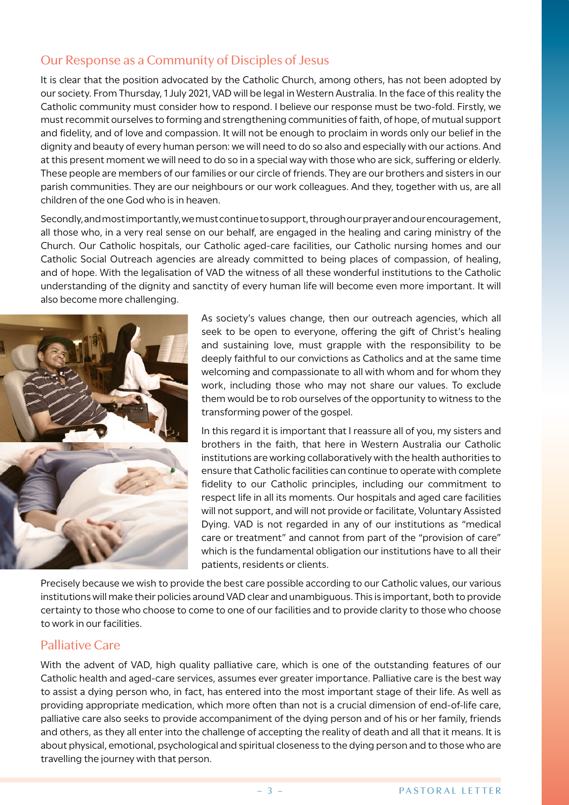# Our Response as a Community of Disciples of Jesus

It is clear that the position advocated by the Catholic Church, among others, has not been adopted by our society. From Thursday, 1 July 2021, VAD will be legal in Western Australia. In the face of this reality the Catholic community must consider how to respond. I believe our response must be two-fold. Firstly, we must recommit ourselves to forming and strengthening communities of faith, of hope, of mutual support and fidelity, and of love and compassion. It will not be enough to proclaim in words only our belief in the dignity and beauty of every human person: we will need to do so also and especially with our actions. And at this present moment we will need to do so in a special way with those who are sick, suffering or elderly. These people are members of our families or our circle of friends. They are our brothers and sisters in our parish communities. They are our neighbours or our work colleagues. And they, together with us, are all children of the one God who is in heaven.

Secondly, and most importantly, we must continue to support, through our prayer and our encouragement, all those who, in a very real sense on our behalf, are engaged in the healing and caring ministry of the Church. Our Catholic hospitals, our Catholic aged-care facilities, our Catholic nursing homes and our Catholic Social Outreach agencies are already committed to being places of compassion, of healing, and of hope. With the legalisation of VAD the witness of all these wonderful institutions to the Catholic understanding of the dignity and sanctity of every human life will become even more important. It will also become more challenging.



As society's values change, then our outreach agencies, which all seek to be open to everyone, offering the gift of Christ's healing and sustaining love, must grapple with the responsibility to be deeply faithful to our convictions as Catholics and at the same time welcoming and compassionate to all with whom and for whom they work, including those who may not share our values. To exclude them would be to rob ourselves of the opportunity to witness to the transforming power of the gospel.

In this regard it is important that I reassure all of you, my sisters and brothers in the faith, that here in Western Australia our Catholic institutions are working collaboratively with the health authorities to ensure that Catholic facilities can continue to operate with complete fidelity to our Catholic principles, including our commitment to respect life in all its moments. Our hospitals and aged care facilities will not support, and will not provide or facilitate, Voluntary Assisted Dying. VAD is not regarded in any of our institutions as "medical care or treatment" and cannot from part of the "provision of care" which is the fundamental obligation our institutions have to all their patients, residents or clients.

Precisely because we wish to provide the best care possible according to our Catholic values, our various institutions will make their policies around VAD clear and unambiguous. This is important, both to provide certainty to those who choose to come to one of our facilities and to provide clarity to those who choose to work in our facilities.

#### Palliative Care

With the advent of VAD, high quality palliative care, which is one of the outstanding features of our Catholic health and aged-care services, assumes ever greater importance. Palliative care is the best way to assist a dying person who, in fact, has entered into the most important stage of their life. As well as providing appropriate medication, which more often than not is a crucial dimension of end-of-life care, palliative care also seeks to provide accompaniment of the dying person and of his or her family, friends and others, as they all enter into the challenge of accepting the reality of death and all that it means. It is about physical, emotional, psychological and spiritual closeness to the dying person and to those who are travelling the journey with that person.